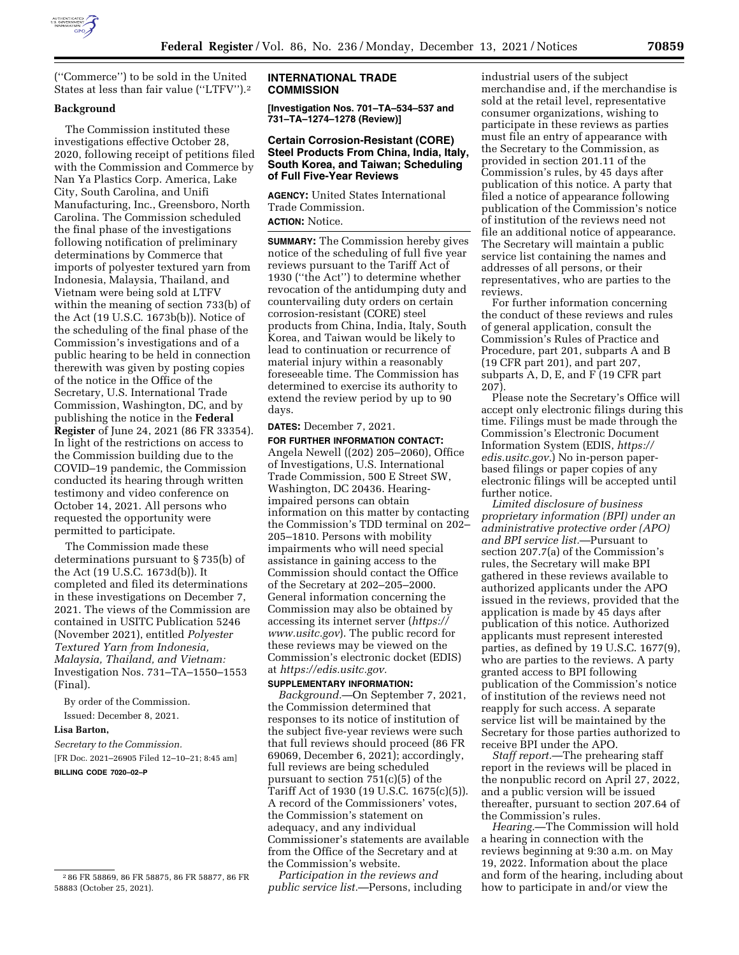

(''Commerce'') to be sold in the United States at less than fair value (''LTFV'').2

### **Background**

The Commission instituted these investigations effective October 28, 2020, following receipt of petitions filed with the Commission and Commerce by Nan Ya Plastics Corp. America, Lake City, South Carolina, and Unifi Manufacturing, Inc., Greensboro, North Carolina. The Commission scheduled the final phase of the investigations following notification of preliminary determinations by Commerce that imports of polyester textured yarn from Indonesia, Malaysia, Thailand, and Vietnam were being sold at LTFV within the meaning of section 733(b) of the Act (19 U.S.C. 1673b(b)). Notice of the scheduling of the final phase of the Commission's investigations and of a public hearing to be held in connection therewith was given by posting copies of the notice in the Office of the Secretary, U.S. International Trade Commission, Washington, DC, and by publishing the notice in the **Federal Register** of June 24, 2021 (86 FR 33354). In light of the restrictions on access to the Commission building due to the COVID–19 pandemic, the Commission conducted its hearing through written testimony and video conference on October 14, 2021. All persons who requested the opportunity were permitted to participate.

The Commission made these determinations pursuant to § 735(b) of the Act (19 U.S.C. 1673d(b)). It completed and filed its determinations in these investigations on December 7, 2021. The views of the Commission are contained in USITC Publication 5246 (November 2021), entitled *Polyester Textured Yarn from Indonesia, Malaysia, Thailand, and Vietnam:*  Investigation Nos. 731–TA–1550–1553 (Final).

By order of the Commission. Issued: December 8, 2021.

### **Lisa Barton,**

*Secretary to the Commission.*  [FR Doc. 2021–26905 Filed 12–10–21; 8:45 am] **BILLING CODE 7020–02–P** 

### **INTERNATIONAL TRADE COMMISSION**

**[Investigation Nos. 701–TA–534–537 and 731–TA–1274–1278 (Review)]** 

## **Certain Corrosion-Resistant (CORE) Steel Products From China, India, Italy, South Korea, and Taiwan; Scheduling of Full Five-Year Reviews**

**AGENCY:** United States International Trade Commission. **ACTION:** Notice.

**SUMMARY:** The Commission hereby gives notice of the scheduling of full five year reviews pursuant to the Tariff Act of 1930 (''the Act'') to determine whether revocation of the antidumping duty and countervailing duty orders on certain corrosion-resistant (CORE) steel products from China, India, Italy, South Korea, and Taiwan would be likely to lead to continuation or recurrence of material injury within a reasonably foreseeable time. The Commission has determined to exercise its authority to extend the review period by up to 90 days.

# **DATES:** December 7, 2021.

**FOR FURTHER INFORMATION CONTACT:**  Angela Newell ((202) 205–2060), Office of Investigations, U.S. International Trade Commission, 500 E Street SW, Washington, DC 20436. Hearingimpaired persons can obtain information on this matter by contacting the Commission's TDD terminal on 202– 205–1810. Persons with mobility impairments who will need special assistance in gaining access to the Commission should contact the Office of the Secretary at 202–205–2000. General information concerning the Commission may also be obtained by accessing its internet server (*https:// www.usitc.gov*). The public record for these reviews may be viewed on the Commission's electronic docket (EDIS) at *https://edis.usitc.gov.* 

### **SUPPLEMENTARY INFORMATION:**

*Background.*—On September 7, 2021, the Commission determined that responses to its notice of institution of the subject five-year reviews were such that full reviews should proceed (86 FR 69069, December 6, 2021); accordingly, full reviews are being scheduled pursuant to section 751(c)(5) of the Tariff Act of 1930 (19 U.S.C. 1675(c)(5)). A record of the Commissioners' votes, the Commission's statement on adequacy, and any individual Commissioner's statements are available from the Office of the Secretary and at the Commission's website.

*Participation in the reviews and public service list.*—Persons, including

industrial users of the subject merchandise and, if the merchandise is sold at the retail level, representative consumer organizations, wishing to participate in these reviews as parties must file an entry of appearance with the Secretary to the Commission, as provided in section 201.11 of the Commission's rules, by 45 days after publication of this notice. A party that filed a notice of appearance following publication of the Commission's notice of institution of the reviews need not file an additional notice of appearance. The Secretary will maintain a public service list containing the names and addresses of all persons, or their representatives, who are parties to the reviews.

For further information concerning the conduct of these reviews and rules of general application, consult the Commission's Rules of Practice and Procedure, part 201, subparts A and B (19 CFR part 201), and part 207, subparts A, D, E, and F (19 CFR part 207).

Please note the Secretary's Office will accept only electronic filings during this time. Filings must be made through the Commission's Electronic Document Information System (EDIS, *https:// edis.usitc.gov.*) No in-person paperbased filings or paper copies of any electronic filings will be accepted until further notice.

*Limited disclosure of business proprietary information (BPI) under an administrative protective order (APO) and BPI service list.*—Pursuant to section 207.7(a) of the Commission's rules, the Secretary will make BPI gathered in these reviews available to authorized applicants under the APO issued in the reviews, provided that the application is made by 45 days after publication of this notice. Authorized applicants must represent interested parties, as defined by 19 U.S.C. 1677(9), who are parties to the reviews. A party granted access to BPI following publication of the Commission's notice of institution of the reviews need not reapply for such access. A separate service list will be maintained by the Secretary for those parties authorized to receive BPI under the APO.

*Staff report.*—The prehearing staff report in the reviews will be placed in the nonpublic record on April 27, 2022, and a public version will be issued thereafter, pursuant to section 207.64 of the Commission's rules.

*Hearing.*—The Commission will hold a hearing in connection with the reviews beginning at 9:30 a.m. on May 19, 2022. Information about the place and form of the hearing, including about how to participate in and/or view the

<sup>2</sup> 86 FR 58869, 86 FR 58875, 86 FR 58877, 86 FR 58883 (October 25, 2021).